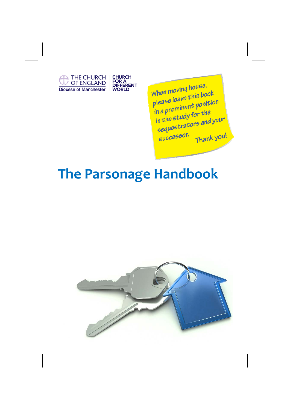

When moving house, When moving house,<br>please leave this book<br>please leave this positio please leave this been<br>in a prominent position in a prominent position<br>in the study for the<br>instors and in the study for the<br>sequestrators and your  $\frac{964}{\mu}$ Thank you!

# **The Parsonage Handbook**

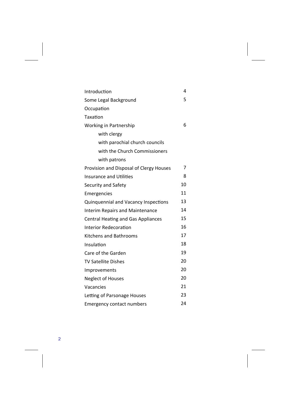| Introduction                              | 4  |
|-------------------------------------------|----|
| Some Legal Background                     | 5  |
| Occupation                                |    |
| Taxation                                  |    |
| Working in Partnership                    | 6  |
| with clergy                               |    |
| with parochial church councils            |    |
| with the Church Commissioners             |    |
| with patrons                              |    |
| Provision and Disposal of Clergy Houses   | 7  |
| <b>Insurance and Utilities</b>            | 8  |
| Security and Safety                       | 10 |
| Emergencies                               | 11 |
| Quinquennial and Vacancy Inspections      | 13 |
| <b>Interim Repairs and Maintenance</b>    | 14 |
| <b>Central Heating and Gas Appliances</b> | 15 |
| Interior Redecoration                     | 16 |
| <b>Kitchens and Bathrooms</b>             | 17 |
| Insulation                                | 18 |
| Care of the Garden                        | 19 |
| <b>TV Satellite Dishes</b>                | 20 |
| Improvements                              | 20 |
| <b>Neglect of Houses</b>                  | 20 |
| Vacancies                                 | 21 |
| Letting of Parsonage Houses               | 23 |
| <b>Emergency contact numbers</b>          | 24 |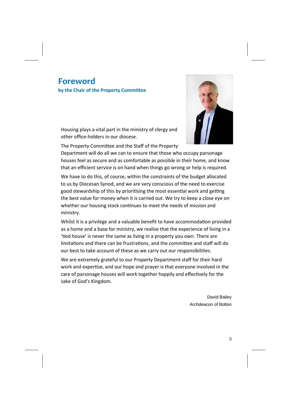### **Foreword**

**by the Chair of the Property Committee** 



Housing plays a vital part in the ministry of clergy and other office‐holders in our diocese.

The Property Committee and the Staff of the Property

Department will do all we can to ensure that those who occupy parsonage houses feel as secure and as comfortable as possible in their home, and know that an efficient service is on hand when things go wrong or help is required.

We have to do this, of course, within the constraints of the budget allocated to us by Diocesan Synod, and we are very conscious of the need to exercise good stewardship of this by prioritising the most essential work and getting the best value for money when it is carried out. We try to keep a close eye on whether our housing stock continues to meet the needs of mission and ministry.

Whilst it is a privilege and a valuable benefit to have accommodation provided as a home and a base for ministry, we realise that the experience of living in a 'tied house' is never the same as living in a property you own. There are limitations and there can be frustrations, and the committee and staff will do our best to take account of these as we carry out our responsibilities.

We are extremely grateful to our Property Department staff for their hard work and expertise, and our hope and prayer is that everyone involved in the care of parsonage houses will work together happily and effectively for the sake of God's Kingdom.

> David Bailey Archdeacon of Bolton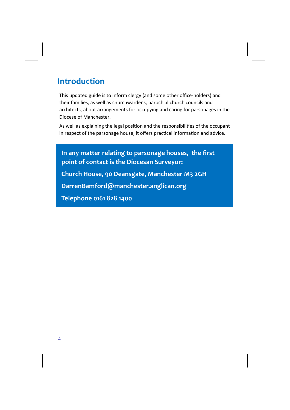### **Introduction**

This updated guide is to inform clergy (and some other office‐holders) and their families, as well as churchwardens, parochial church councils and architects, about arrangements for occupying and caring for parsonages in the Diocese of Manchester.

As well as explaining the legal position and the responsibilities of the occupant in respect of the parsonage house, it offers practical information and advice.

**In any matter relating to parsonage houses, the first point of contact is the Diocesan Surveyor: Church House, 90 Deansgate, Manchester M3 2GH DarrenBamford@manchester.anglican.org Telephone 0161 828 1400**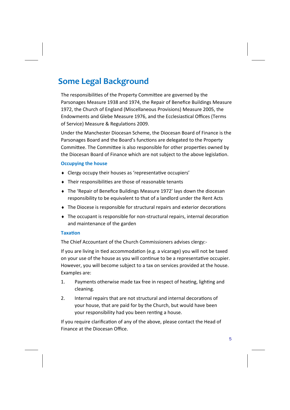### **Some Legal Background**

The responsibilities of the Property Committee are governed by the Parsonages Measure 1938 and 1974, the Repair of Benefice Buildings Measure 1972, the Church of England (Miscellaneous Provisions) Measure 2005, the Endowments and Glebe Measure 1976, and the Ecclesiastical Offices (Terms of Service) Measure & Regulations 2009.

Under the Manchester Diocesan Scheme, the Diocesan Board of Finance is the Parsonages Board and the Board's functions are delegated to the Property Committee. The Committee is also responsible for other properties owned by the Diocesan Board of Finance which are not subject to the above legislation.

#### **Occupying the house**

- Clergy occupy their houses as 'representative occupiers'
- $\bullet$  Their responsibilities are those of reasonable tenants
- The 'Repair of Benefice Buildings Measure 1972' lays down the diocesan responsibility to be equivalent to that of a landlord under the Rent Acts
- $\bullet$  The Diocese is responsible for structural repairs and exterior decorations
- ◆ The occupant is responsible for non-structural repairs, internal decoration and maintenance of the garden

### **TaxaƟon**

The Chief Accountant of the Church Commissioners advises clergy:‐

If you are living in tied accommodation (e.g. a vicarage) you will not be taxed on your use of the house as you will continue to be a representative occupier. However, you will become subject to a tax on services provided at the house. Examples are:

- 1. Payments otherwise made tax free in respect of heating, lighting and cleaning.
- 2. Internal repairs that are not structural and internal decorations of your house, that are paid for by the Church, but would have been your responsibility had you been renting a house.

If you require clarification of any of the above, please contact the Head of Finance at the Diocesan Office.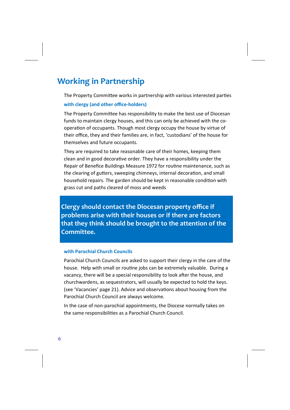### **Working in Partnership**

The Property Committee works in partnership with various interested parties

#### **with clergy (and other office‐holders)**

The Property Committee has responsibility to make the best use of Diocesan funds to maintain clergy houses, and this can only be achieved with the cooperation of occupants. Though most clergy occupy the house by virtue of their office, they and their families are, in fact, 'custodians' of the house for themselves and future occupants.

They are required to take reasonable care of their homes, keeping them clean and in good decorative order. They have a responsibility under the Repair of Benefice Buildings Measure 1972 for routine maintenance, such as the clearing of gutters, sweeping chimneys, internal decoration, and small household repairs. The garden should be kept in reasonable condition with grass cut and paths cleared of moss and weeds

**Clergy should contact the Diocesan property office if problems arise with their houses or if there are factors that they think should be brought to the attention of the Committee.**

#### **with Parochial Church Councils**

Parochial Church Councils are asked to support their clergy in the care of the house. Help with small or routine jobs can be extremely valuable. During a vacancy, there will be a special responsibility to look after the house, and churchwardens, as sequestrators, will usually be expected to hold the keys. (see 'Vacancies' page 21). Advice and observations about housing from the Parochial Church Council are always welcome.

In the case of non‐parochial appointments, the Diocese normally takes on the same responsibilities as a Parochial Church Council.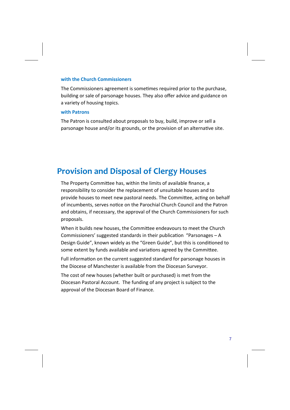#### **with the Church Commissioners**

The Commissioners agreement is sometimes required prior to the purchase, building or sale of parsonage houses. They also offer advice and guidance on a variety of housing topics.

#### **with Patrons**

The Patron is consulted about proposals to buy, build, improve or sell a parsonage house and/or its grounds, or the provision of an alternative site.

### **Provision and Disposal of Clergy Houses**

The Property Committee has, within the limits of available finance, a responsibility to consider the replacement of unsuitable houses and to provide houses to meet new pastoral needs. The Committee, acting on behalf of incumbents, serves notice on the Parochial Church Council and the Patron and obtains, if necessary, the approval of the Church Commissioners for such proposals.

When it builds new houses, the Committee endeavours to meet the Church Commissioners' suggested standards in their publication "Parsonages - A Design Guide", known widely as the "Green Guide", but this is conditioned to some extent by funds available and variations agreed by the Committee.

Full information on the current suggested standard for parsonage houses in the Diocese of Manchester is available from the Diocesan Surveyor.

The cost of new houses (whether built or purchased) is met from the Diocesan Pastoral Account. The funding of any project is subject to the approval of the Diocesan Board of Finance.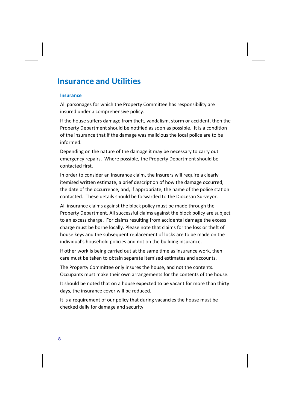### **Insurance and Utilities**

#### I**nsurance**

All parsonages for which the Property Committee has responsibility are insured under a comprehensive policy.

If the house suffers damage from theft, vandalism, storm or accident, then the Property Department should be notified as soon as possible. It is a condition of the insurance that if the damage was malicious the local police are to be informed.

Depending on the nature of the damage it may be necessary to carry out emergency repairs. Where possible, the Property Department should be contacted first.

In order to consider an insurance claim, the Insurers will require a clearly itemised written estimate, a brief description of how the damage occurred, the date of the occurrence, and, if appropriate, the name of the police station contacted. These details should be forwarded to the Diocesan Surveyor.

All insurance claims against the block policy must be made through the Property Department. All successful claims against the block policy are subject to an excess charge. For claims resulting from accidental damage the excess charge must be borne locally. Please note that claims for the loss or theft of house keys and the subsequent replacement of locks are to be made on the individual's household policies and not on the building insurance.

If other work is being carried out at the same time as insurance work, then care must be taken to obtain separate itemised estimates and accounts.

The Property Committee only insures the house, and not the contents. Occupants must make their own arrangements for the contents of the house.

It should be noted that on a house expected to be vacant for more than thirty days, the insurance cover will be reduced.

It is a requirement of our policy that during vacancies the house must be checked daily for damage and security.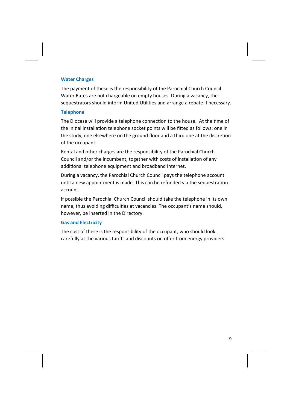#### **Water Charges**

The payment of these is the responsibility of the Parochial Church Council. Water Rates are not chargeable on empty houses. During a vacancy, the sequestrators should inform United Utilities and arrange a rebate if necessary.

#### **Telephone**

The Diocese will provide a telephone connection to the house. At the time of the initial installation telephone socket points will be fitted as follows: one in the study, one elsewhere on the ground floor and a third one at the discretion of the occupant.

Rental and other charges are the responsibility of the Parochial Church Council and/or the incumbent, together with costs of installation of any additional telephone equipment and broadband internet.

During a vacancy, the Parochial Church Council pays the telephone account until a new appointment is made. This can be refunded via the sequestration account.

If possible the Parochial Church Council should take the telephone in its own name, thus avoiding difficulties at vacancies. The occupant's name should, however, be inserted in the Directory.

#### **Gas and Electricity**

The cost of these is the responsibility of the occupant, who should look carefully at the various tariffs and discounts on offer from energy providers.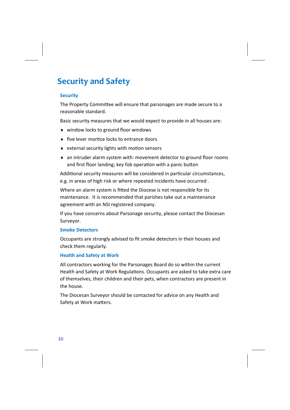### **Security and Safety**

#### **Security**

The Property Committee will ensure that parsonages are made secure to a reasonable standard.

Basic security measures that we would expect to provide in all houses are:

- window locks to ground floor windows
- ◆ five lever mortice locks to entrance doors
- $\bullet$  external security lights with motion sensors
- an intruder alarm system with: movement detector to ground floor rooms and first floor landing; key fob operation with a panic button

Additional security measures will be considered in particular circumstances, e.g. in areas of high risk or where repeated incidents have occurred .

Where an alarm system is fitted the Diocese is not responsible for its maintenance. It is recommended that parishes take out a maintenance agreement with an NSI registered company.

If you have concerns about Parsonage security, please contact the Diocesan Surveyor.

#### **Smoke Detectors**

Occupants are strongly advised to fit smoke detectors in their houses and check them regularly.

### **Health and Safety at Work**

All contractors working for the Parsonages Board do so within the current Health and Safety at Work Regulations. Occupants are asked to take extra care of themselves, their children and their pets, when contractors are present in the house.

The Diocesan Surveyor should be contacted for advice on any Health and Safety at Work matters.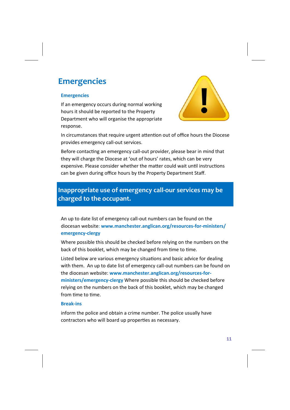### **Emergencies**

#### **Emergencies**

If an emergency occurs during normal working hours it should be reported to the Property Department who will organise the appropriate response.



In circumstances that require urgent attention out of office hours the Diocese provides emergency call‐out services.

Before contacting an emergency call-out provider, please bear in mind that they will charge the Diocese at 'out of hours' rates, which can be very expensive. Please consider whether the matter could wait until instructions can be given during office hours by the Property Department Staff.

### **Inappropriate use of emergency call‐our services may be charged to the occupant.**

An up to date list of emergency call‐out numbers can be found on the diocesan website: **www.manchester.anglican.org/resources‐for‐ministers/ emergency‐clergy**

Where possible this should be checked before relying on the numbers on the back of this booklet, which may be changed from time to time.

Listed below are various emergency situations and basic advice for dealing with them. An up to date list of emergency call-out numbers can be found on the diocesan website: **www.manchester.anglican.org/resources‐for‐ ministers/emergency‐clergy** Where possible this should be checked before relying on the numbers on the back of this booklet, which may be changed from time to time.

#### **Break‐ins**

inform the police and obtain a crime number. The police usually have contractors who will board up properties as necessary.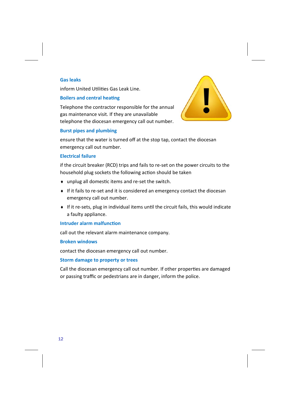#### **Gas leaks**

inform United Utilities Gas Leak Line.

#### **Boilers and central heating**

Telephone the contractor responsible for the annual gas maintenance visit. If they are unavailable telephone the diocesan emergency call out number.



#### **Burst pipes and plumbing**

ensure that the water is turned off at the stop tap, contact the diocesan emergency call out number.

#### **Electrical failure**

if the circuit breaker (RCD) trips and fails to re‐set on the power circuits to the household plug sockets the following action should be taken

- ◆ unplug all domestic items and re-set the switch.
- If it fails to re‐set and it is considered an emergency contact the diocesan emergency call out number.
- ◆ If it re-sets, plug in individual items until the circuit fails, this would indicate a faulty appliance.

#### **Intruder alarm malfunction**

call out the relevant alarm maintenance company.

#### **Broken windows**

contact the diocesan emergency call out number.

#### **Storm damage to property or trees**

Call the diocesan emergency call out number. If other properties are damaged or passing traffic or pedestrians are in danger, inform the police.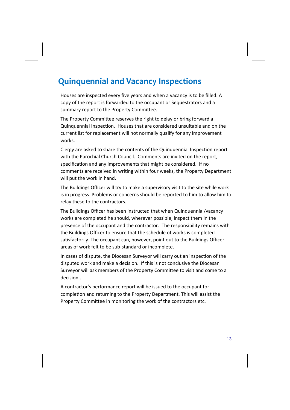### **Quinquennial and Vacancy Inspections**

Houses are inspected every five years and when a vacancy is to be filled. A copy of the report is forwarded to the occupant or Sequestrators and a summary report to the Property Committee.

The Property Committee reserves the right to delay or bring forward a Quinquennial Inspection. Houses that are considered unsuitable and on the current list for replacement will not normally qualify for any improvement works.

Clergy are asked to share the contents of the Quinquennial Inspection report with the Parochial Church Council. Comments are invited on the report, specification and any improvements that might be considered. If no comments are received in writing within four weeks, the Property Department will put the work in hand.

The Buildings Officer will try to make a supervisory visit to the site while work is in progress. Problems or concerns should be reported to him to allow him to relay these to the contractors.

The Buildings Officer has been instructed that when Quinquennial/vacancy works are completed he should, wherever possible, inspect them in the presence of the occupant and the contractor. The responsibility remains with the Buildings Officer to ensure that the schedule of works is completed satisfactorily. The occupant can, however, point out to the Buildings Officer areas of work felt to be sub‐standard or incomplete.

In cases of dispute, the Diocesan Surveyor will carry out an inspection of the disputed work and make a decision. If this is not conclusive the Diocesan Surveyor will ask members of the Property Committee to visit and come to a decision..

A contractor's performance report will be issued to the occupant for completion and returning to the Property Department. This will assist the Property Committee in monitoring the work of the contractors etc.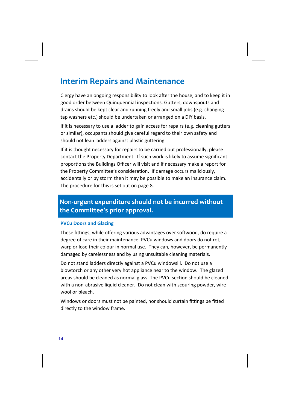### **Interim Repairs and Maintenance**

Clergy have an ongoing responsibility to look after the house, and to keep it in good order between Quinquennial inspections. Gutters, downspouts and drains should be kept clear and running freely and small jobs (e.g. changing tap washers etc.) should be undertaken or arranged on a DIY basis.

If it is necessary to use a ladder to gain access for repairs (e.g. cleaning gutters or similar), occupants should give careful regard to their own safety and should not lean ladders against plastic guttering.

If it is thought necessary for repairs to be carried out professionally, please contact the Property Department. If such work is likely to assume significant proportions the Buildings Officer will visit and if necessary make a report for the Property Committee's consideration. If damage occurs maliciously, accidentally or by storm then it may be possible to make an insurance claim. The procedure for this is set out on page 8.

### **Non‐urgent expenditure should not be incurred without the Committee's prior approval.**

#### **PVCu Doors and Glazing**

These fittings, while offering various advantages over softwood, do require a degree of care in their maintenance. PVCu windows and doors do not rot, warp or lose their colour in normal use. They can, however, be permanently damaged by carelessness and by using unsuitable cleaning materials.

Do not stand ladders directly against a PVCu windowsill. Do not use a blowtorch or any other very hot appliance near to the window. The glazed areas should be cleaned as normal glass. The PVCu section should be cleaned with a non-abrasive liquid cleaner. Do not clean with scouring powder, wire wool or bleach.

Windows or doors must not be painted, nor should curtain fittings be fitted directly to the window frame.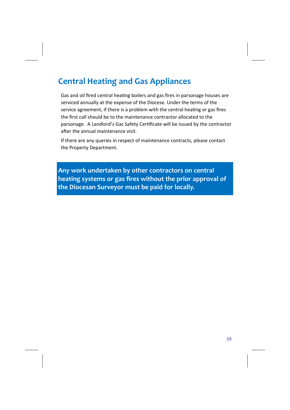### **Central Heating and Gas Appliances**

Gas and oil fired central heating boilers and gas fires in parsonage houses are serviced annually at the expense of the Diocese. Under the terms of the service agreement, if there is a problem with the central heating or gas fires the first call should be to the maintenance contractor allocated to the parsonage. A Landlord's Gas Safety Certificate will be issued by the contractor after the annual maintenance visit.

If there are any queries in respect of maintenance contracts, please contact the Property Department.

**Any work undertaken by other contractors on central heating systems or gas fires without the prior approval of the Diocesan Surveyor must be paid for locally.**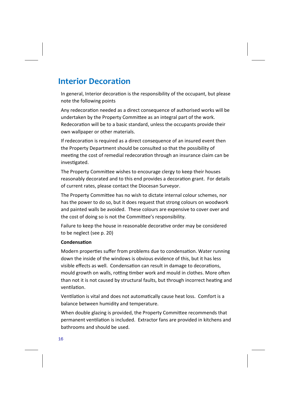### **Interior Decoration**

In general, Interior decoration is the responsibility of the occupant, but please note the following points

Any redecoration needed as a direct consequence of authorised works will be undertaken by the Property Committee as an integral part of the work. Redecoration will be to a basic standard, unless the occupants provide their own wallpaper or other materials.

If redecoration is required as a direct consequence of an insured event then the Property Department should be consulted so that the possibility of meeting the cost of remedial redecoration through an insurance claim can be investigated.

The Property Committee wishes to encourage clergy to keep their houses reasonably decorated and to this end provides a decoration grant. For details of current rates, please contact the Diocesan Surveyor.

The Property Committee has no wish to dictate internal colour schemes, nor has the power to do so, but it does request that strong colours on woodwork and painted walls be avoided. These colours are expensive to cover over and the cost of doing so is not the Committee's responsibility.

Failure to keep the house in reasonable decorative order may be considered to be neglect (see p. 20)

#### **CondensaƟon**

Modern properties suffer from problems due to condensation. Water running down the inside of the windows is obvious evidence of this, but it has less visible effects as well. Condensation can result in damage to decorations, mould growth on walls, rotting timber work and mould in clothes. More often than not it is not caused by structural faults, but through incorrect heating and ventilation.

Ventilation is vital and does not automatically cause heat loss. Comfort is a balance between humidity and temperature.

When double glazing is provided, the Property Committee recommends that permanent ventilation is included. Extractor fans are provided in kitchens and bathrooms and should be used.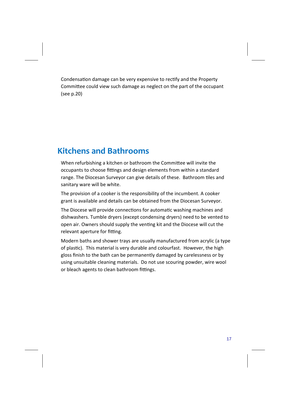Condensation damage can be very expensive to rectify and the Property Committee could view such damage as neglect on the part of the occupant (see p.20)

### **Kitchens and Bathrooms**

When refurbishing a kitchen or bathroom the Committee will invite the occupants to choose fittings and design elements from within a standard range. The Diocesan Surveyor can give details of these. Bathroom tiles and sanitary ware will be white.

The provision of a cooker is the responsibility of the incumbent. A cooker grant is available and details can be obtained from the Diocesan Surveyor.

The Diocese will provide connections for automatic washing machines and dishwashers. Tumble dryers (except condensing dryers) need to be vented to open air. Owners should supply the venting kit and the Diocese will cut the relevant aperture for fitting.

Modern baths and shower trays are usually manufactured from acrylic (a type of plastic). This material is very durable and colourfast. However, the high gloss finish to the bath can be permanently damaged by carelessness or by using unsuitable cleaning materials. Do not use scouring powder, wire wool or bleach agents to clean bathroom fittings.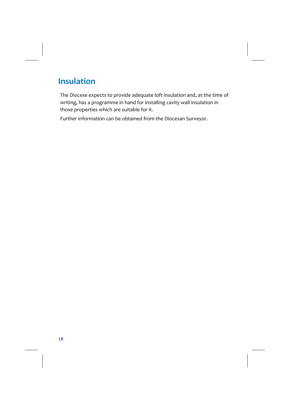## **Insulation**

The Diocese expects to provide adequate loft insulation and, at the time of writing, has a programme in hand for installing cavity wall insulation in those properties which are suitable for it.

Further information can be obtained from the Diocesan Surveyor.

18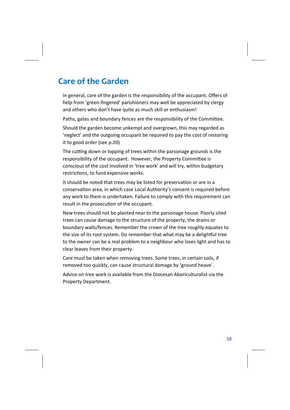### **Care of the Garden**

In general, care of the garden is the responsibility of the occupant. Offers of help from 'green‐fingered' parishioners may well be appreciated by clergy and others who don't have quite as much skill or enthusiasm!

Paths, gates and boundary fences are the responsibility of the Committee.

Should the garden become unkempt and overgrown, this may regarded as 'neglect' and the outgoing occupant be required to pay the cost of restoring it to good order (see p.20)

The cutting down or lopping of trees within the parsonage grounds is the responsibility of the occupant. However, the Property Committee is conscious of the cost involved in 'tree work' and will try, within budgetary restrictions, to fund expensive works.

It should be noted that trees may be listed for preservation or are in a conservation area, in which case Local Authority's consent is required before any work to them is undertaken. Failure to comply with this requirement can result in the prosecution of the occupant.

New trees should not be planted near to the parsonage house. Poorly sited trees can cause damage to the structure of the property, the drains or boundary walls/fences. Remember the crown of the tree roughly equates to the size of its root system. Do remember that what may be a delightful tree to the owner can be a real problem to a neighbour who loses light and has to clear leaves from their property.

Care must be taken when removing trees. Some trees, in certain soils, if removed too quickly, can cause structural damage by 'ground heave'.

Advice on tree work is available from the Diocesan Aboriculturalist via the Property Department.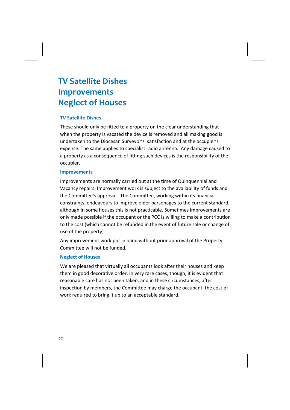## **TV Satellite Dishes Improvements Neglect of Houses**

### **TV Satellite Dishes**

These should only be fitted to a property on the clear understanding that when the property is vacated the device is removed and all making good is undertaken to the Diocesan Surveyor's satisfaction and at the occupier's expense. The same applies to specialist radio antenna. Any damage caused to a property as a consequence of fitting such devices is the responsibility of the occupier.

#### **Improvements**

Improvements are normally carried out at the time of Quinquennial and Vacancy repairs. Improvement work is subject to the availability of funds and the Committee's approval. The Committee, working within its financial constraints, endeavours to improve older parsonages to the current standard, although in some houses this is not practicable. Sometimes improvements are only made possible if the occupant or the PCC is willing to make a contribution to the cost (which cannot be refunded in the event of future sale or change of use of the property)

Any improvement work put in hand without prior approval of the Property Committee will not be funded.

#### **Neglect of Houses**

We are pleased that virtually all occupants look after their houses and keep them in good decorative order. In very rare cases, though, it is evident that reasonable care has not been taken, and in these circumstances, after inspection by members, the Committee may charge the occupant the cost of work required to bring it up to an acceptable standard.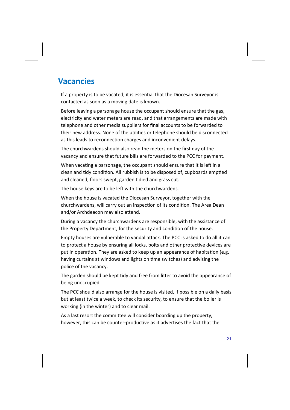### **Vacancies**

If a property is to be vacated, it is essential that the Diocesan Surveyor is contacted as soon as a moving date is known.

Before leaving a parsonage house the occupant should ensure that the gas, electricity and water meters are read, and that arrangements are made with telephone and other media suppliers for final accounts to be forwarded to their new address. None of the utilities or telephone should be disconnected as this leads to reconnection charges and inconvenient delays.

The churchwardens should also read the meters on the first day of the vacancy and ensure that future bills are forwarded to the PCC for payment.

When vacating a parsonage, the occupant should ensure that it is left in a clean and tidy condition. All rubbish is to be disposed of, cupboards emptied and cleaned, floors swept, garden tidied and grass cut.

The house keys are to be left with the churchwardens.

When the house is vacated the Diocesan Surveyor, together with the churchwardens, will carry out an inspection of its condition. The Area Dean and/or Archdeacon may also attend.

During a vacancy the churchwardens are responsible, with the assistance of the Property Department, for the security and condition of the house.

Empty houses are vulnerable to vandal attack. The PCC is asked to do all it can to protect a house by ensuring all locks, bolts and other protective devices are put in operation. They are asked to keep up an appearance of habitation (e.g. having curtains at windows and lights on time switches) and advising the police of the vacancy.

The garden should be kept tidy and free from litter to avoid the appearance of being unoccupied.

The PCC should also arrange for the house is visited, if possible on a daily basis but at least twice a week, to check its security, to ensure that the boiler is working (in the winter) and to clear mail.

As a last resort the committee will consider boarding up the property, however, this can be counter-productive as it advertises the fact that the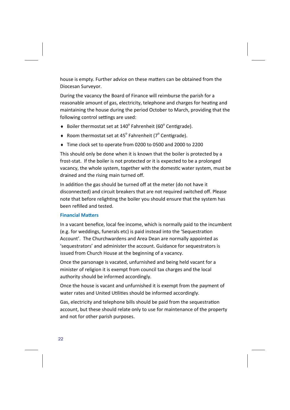house is empty. Further advice on these matters can be obtained from the Diocesan Surveyor.

During the vacancy the Board of Finance will reimburse the parish for a reasonable amount of gas, electricity, telephone and charges for heating and maintaining the house during the period October to March, providing that the following control settings are used:

- $\bullet$  Boiler thermostat set at 140° Fahrenheit (60° Centigrade).
- $\triangleleft$  Room thermostat set at 45° Fahrenheit (7° Centigrade).
- Time clock set to operate from 0200 to 0500 and 2000 to 2200

This should only be done when it is known that the boiler is protected by a frost‐stat. If the boiler is not protected or it is expected to be a prolonged vacancy, the whole system, together with the domestic water system, must be drained and the rising main turned off.

In addition the gas should be turned off at the meter (do not have it disconnected) and circuit breakers that are not required switched off. Please note that before relighting the boiler you should ensure that the system has been refilled and tested.

#### **Financial MaƩers**

In a vacant benefice, local fee income, which is normally paid to the incumbent (e.g. for weddings, funerals etc) is paid instead into the 'Sequestration Account'. The Churchwardens and Area Dean are normally appointed as 'sequestrators' and administer the account. Guidance for sequestrators is issued from Church House at the beginning of a vacancy.

Once the parsonage is vacated, unfurnished and being held vacant for a minister of religion it is exempt from council tax charges and the local authority should be informed accordingly.

Once the house is vacant and unfurnished it is exempt from the payment of water rates and United Utilities should be informed accordingly.

Gas, electricity and telephone bills should be paid from the sequestration account, but these should relate only to use for maintenance of the property and not for other parish purposes.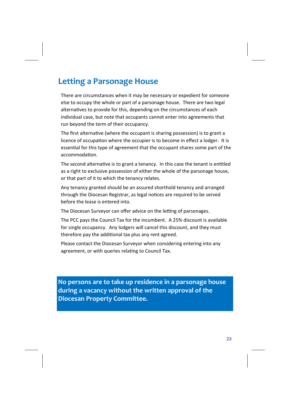### **Letting a Parsonage House**

There are circumstances when it may be necessary or expedient for someone else to occupy the whole or part of a parsonage house. There are two legal alternatives to provide for this, depending on the circumstances of each individual case, but note that occupants cannot enter into agreements that run beyond the term of their occupancy.

The first alternative (where the occupant is sharing possession) is to grant a licence of occupation where the occupier is to become in effect a lodger. It is essential for this type of agreement that the occupant shares some part of the accommodaƟon.

The second alternative is to grant a tenancy. In this case the tenant is entitled as a right to exclusive possession of either the whole of the parsonage house, or that part of it to which the tenancy relates.

Any tenancy granted should be an assured shorthold tenancy and arranged through the Diocesan Registrar, as legal notices are required to be served before the lease is entered into.

The Diocesan Surveyor can offer advice on the letting of parsonages.

The PCC pays the Council Tax for the incumbent. A 25% discount is available for single occupancy. Any lodgers will cancel this discount, and they must therefore pay the additional tax plus any rent agreed.

Please contact the Diocesan Surveyor when considering entering into any agreement, or with queries relating to Council Tax.

**No persons are to take up residence in a parsonage house during a vacancy without the written approval of the Diocesan Property Committee.**